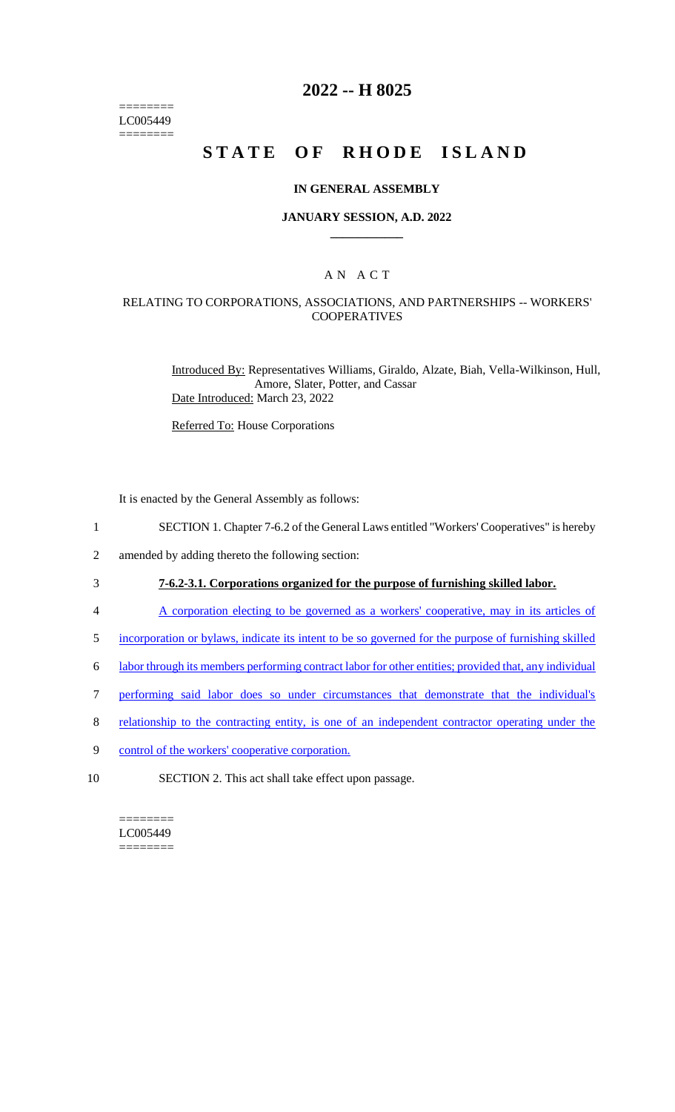======== LC005449 ========

## **2022 -- H 8025**

# **STATE OF RHODE ISLAND**

#### **IN GENERAL ASSEMBLY**

#### **JANUARY SESSION, A.D. 2022 \_\_\_\_\_\_\_\_\_\_\_\_**

## A N A C T

### RELATING TO CORPORATIONS, ASSOCIATIONS, AND PARTNERSHIPS -- WORKERS' COOPERATIVES

Introduced By: Representatives Williams, Giraldo, Alzate, Biah, Vella-Wilkinson, Hull, Amore, Slater, Potter, and Cassar Date Introduced: March 23, 2022

Referred To: House Corporations

It is enacted by the General Assembly as follows:

- 1 SECTION 1. Chapter 7-6.2 of the General Laws entitled "Workers' Cooperatives" is hereby
- 2 amended by adding thereto the following section:

## 3 **7-6.2-3.1. Corporations organized for the purpose of furnishing skilled labor.**

- 4 A corporation electing to be governed as a workers' cooperative, may in its articles of
- 5 incorporation or bylaws, indicate its intent to be so governed for the purpose of furnishing skilled
- 6 labor through its members performing contract labor for other entities; provided that, any individual
- 7 performing said labor does so under circumstances that demonstrate that the individual's
- 8 relationship to the contracting entity, is one of an independent contractor operating under the
- 9 control of the workers' cooperative corporation.
- 10 SECTION 2. This act shall take effect upon passage.

======== LC005449 ========